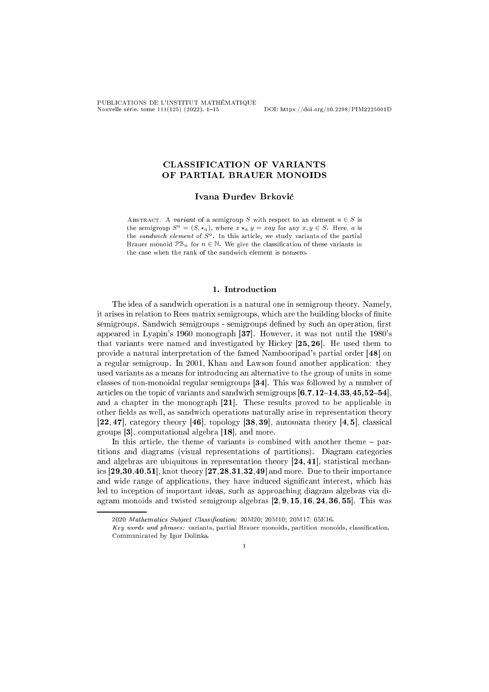PUBLICATIONS DE L'INSTITUT MATHÉMATIQUE Nouvelle série, tome 111(125) (2022), 1–15 DOI: https://doi.org/10.2298/PIM2225001D

## CLASSIFICATION OF VARIANTS OF PARTIAL BRAUER MONOIDS

Ivana Đurđev Brković

ABSTRACT. A variant of a semigroup S with respect to an element  $a \in S$  is the semigroup  $S^a = (S, \star_a)$ , where  $x \star_a y = xay$  for any  $x, y \in S$ . Here, a is the sandwich element of  $S^a$ . In this article, we study variants of the partial Brauer monoid  $\mathcal{PB}_n$  for  $n \in \mathbb{N}$ . We give the classification of these variants in the ase when the rank of the sandwi
h element is nonzero.

## 1. Introduction

The idea of a sandwi
h operation is a natural one in semigroup theory. Namely, it arises in relation to Rees matrix semigroups, which are the building blocks of finite semigroups. Sandwich semigroups - semigroups defined by such an operation, first appeared in Lyapin's 1960 monograph  $[37]$ . However, it was not until the 1980's that variants were named and investigated by Hickey  $[25, 26]$ . He used them to provide a natural interpretation of the famed Nambooripad's partial order [48] on a regular semigroup. In 2001, Khan and Lawson found another application: they used variants as a means for introdu
ing an alternative to the group of units in some classes of non-monoidal regular semigroups  $[34]$ . This was followed by a number of articles on the topic of variants and sandwich semigroups  $[6, 7, 12-14.33.45.52-54]$ . and a chapter in the monograph  $[21]$ . These results proved to be applicable in other fields as well, as sandwich operations naturally arise in representation theory [22, 47], category theory  $[46]$ , topology  $[38, 39]$ , automata theory  $[4, 5]$ , classical groups  $[3]$ , computational algebra  $[18]$ , and more.

In this article, the theme of variants is combined with another theme – partitions and diagrams (visual representations of partitions). Diagram ategories and algebras are ubiquitous in representation theory  $[24, 41]$ , statistical mechanics  $[29, 30, 40, 51]$ , knot theory  $[27, 28, 31, 32, 49]$  and more. Due to their importance and wide range of applications, they have induced significant interest, which has led to inception of important ideas, such as approaching diagram algebras via diagram monoids and twisted semigroup algebras  $[2, 9, 15, 16, 24, 36, 55]$ . This was

 $\overline{1}$ 

<sup>2020</sup> Mathematics Subject Classification: 20M20; 20M10; 20M17; 05E16.

Key words and phrases: variants, partial Brauer monoids, partition monoids, classification. Communi
ated by Igor Dolinka.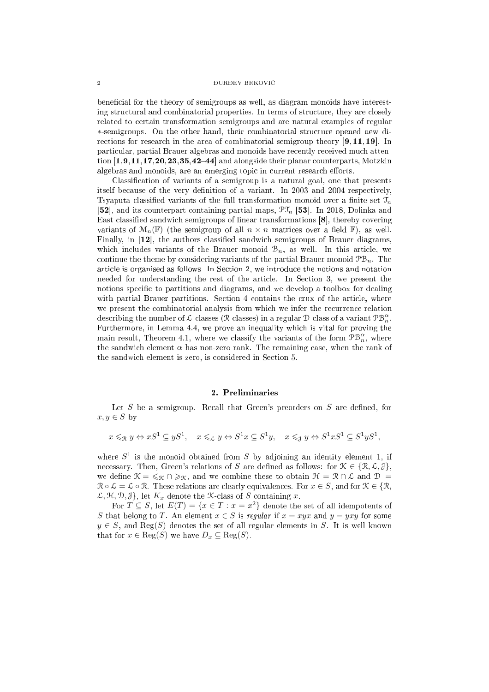### $2$   $$\rm DURDEV$  BRKOVIĆ  $\,$

beneficial for the theory of semigroups as well, as diagram monoids have interesting structural and combinatorial properties. In terms of structure, they are closely related to ertain transformation semigroups and are natural examples of regular ∗-semigroups. On the other hand, their ombinatorial stru
ture opened new directions for research in the area of combinatorial semigroup theory  $[9, 11, 19]$ . In parti
ular, partial Brauer algebras and monoids have re
ently re
eived mu
h attention  $[1, 9, 11, 17, 20, 23, 35, 42-44]$  and alongside their planar counterparts, Motzkin algebras and monoids, are an emerging topic in current research efforts.

Classification of variants of a semigroup is a natural goal, one that presents itself because of the very definition of a variant. In 2003 and 2004 respectively, Tsyaputa classified variants of the full transformation monoid over a finite set  $\mathcal{T}_n$ [52], and its counterpart containing partial maps,  $\mathfrak{PT}_n$  [53]. In 2018, Dolinka and East classified sandwich semigroups of linear transformations [8], thereby covering variants of  $\mathcal{M}_n(\mathbb{F})$  (the semigroup of all  $n \times n$  matrices over a field  $\mathbb{F}$ ), as well. Finally, in  $[12]$ , the authors classified sandwich semigroups of Brauer diagrams, which includes variants of the Brauer monoid  $\mathcal{B}_n$ , as well. In this article, we continue the theme by considering variants of the partial Brauer monoid  $\mathcal{PB}_n$ . The arti
le is organised as follows. In Se
tion 2, we introdu
e the notions and notation needed for understanding the rest of the article. In Section 3, we present the notions specific to partitions and diagrams, and we develop a toolbox for dealing with partial Brauer partitions. Section 4 contains the crux of the article, where we present the combinatorial analysis from which we infer the recurrence relation describing the number of  $\mathcal{L}\text{-classes}$  (R-classes) in a regular  $\mathcal{D}\text{-class}$  of a variant  $\mathcal{PB}_n^{\alpha}$ . Furthermore, in Lemma 4.4, we prove an inequality whi
h is vital for proving the main result, Theorem 4.1, where we classify the variants of the form  $\mathcal{PB}_n^{\alpha}$ , where the sandwich element  $\alpha$  has non-zero rank. The remaining case, when the rank of the sandwich element is zero, is considered in Section 5.

## 2. Preliminaries

Let S be a semigroup. Recall that Green's preorders on  $S$  are defined, for  $x, y \in S$  by

$$
x \leqslant_{\mathcal{R}} y \Leftrightarrow xS^1 \subseteq yS^1, \quad x \leqslant_{\mathcal{L}} y \Leftrightarrow S^1x \subseteq S^1y, \quad x \leqslant_{\mathcal{J}} y \Leftrightarrow S^1xS^1 \subseteq S^1yS^1,
$$

where  $S^1$  is the monoid obtained from S by adjoining an identity element 1, if necessary. Then, Green's relations of S are defined as follows: for  $\mathcal{K} \in \{ \mathcal{R}, \mathcal{L}, \mathcal{J} \}$ , we define  $\mathcal{K} = \leqslant_{\mathcal{K}} \cap \geqslant_{\mathcal{K}}$ , and we combine these to obtain  $\mathcal{H} = \mathcal{R} \cap \mathcal{L}$  and  $\mathcal{D} =$  $\mathcal{R} \circ \mathcal{L} = \mathcal{L} \circ \mathcal{R}$ . These relations are clearly equivalences. For  $x \in S$ , and for  $\mathcal{K} \in \{ \mathcal{R}, \mathcal{R} \}$  $\mathcal{L}, \mathcal{H}, \mathcal{D}, \mathcal{J}$ , let  $K_x$  denote the X-class of S containing x.

For  $T \subseteq S$ , let  $E(T) = \{x \in T : x = x^2\}$  denote the set of all idempotents of S that belong to T. An element  $x \in S$  is regular if  $x = xyx$  and  $y = yxy$  for some  $y \in S$ , and Reg(S) denotes the set of all regular elements in S. It is well known that for  $x \in \text{Reg}(S)$  we have  $D_x \subseteq \text{Reg}(S)$ .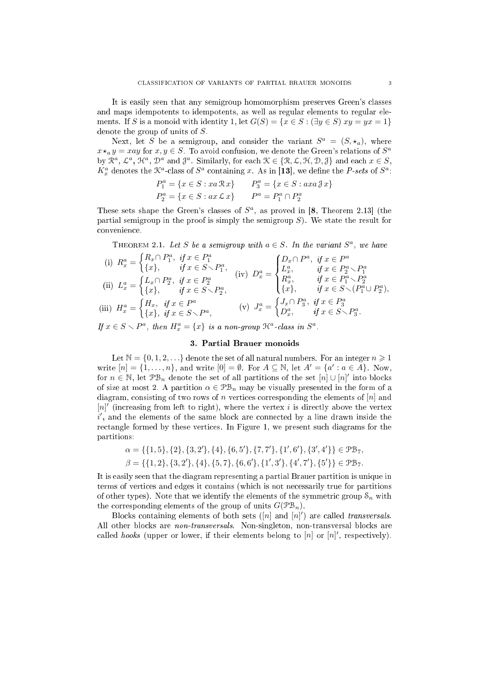It is easily seen that any semigroup homomorphism preserves Green's lasses and maps idempotents to idempotents, as well as regular elements to regular elements. If S is a monoid with identity 1, let  $G(S) = \{x \in S : (\exists y \in S) xy = yx = 1\}$ denote the group of units of S.

Next, let S be a semigroup, and consider the variant  $S^a = (S, \star_a)$ , where  $x \star_a y = xay$  for  $x, y \in S$ . To avoid confusion, we denote the Green's relations of  $S^a$ by  $\mathbb{R}^a$ ,  $\mathcal{L}^a$ ,  $\mathcal{H}^a$ ,  $\mathcal{D}^a$  and  $\mathcal{J}^a$ . Similarly, for each  $\mathcal{K} \in \{\mathcal{R}, \mathcal{L}, \mathcal{H}, \mathcal{D}, \mathcal{J}\}\$  and each  $x \in S$ ,  $K_x^a$  denotes the  $\mathcal{K}^a$ -class of  $S^a$  containing x. As in [13], we define the *P-sets* of  $S^a$ :

$$
P_1^a = \{x \in S : xa \, \mathcal{R}x\}
$$
  
\n
$$
P_2^a = \{x \in S : ax \, \mathcal{L}x\}
$$
  
\n
$$
P_2^a = \{x \in S : ax \, \mathcal{L}x\}
$$
  
\n
$$
P^a = P_1^a \cap P_2^a
$$

These sets shape the Green's classes of  $S^a$ , as proved in [8, Theorem 2.13] (the partial semigroup in the proof is simply the semigroup  $S$ ). We state the result for onvenien
e.

THEOREM 2.1. Let S be a semigroup with  $a \in S$ . In the variant  $S^a$ , we have

(i) 
$$
R_x^a = \begin{cases} R_x \cap P_1^a, & \text{if } x \in P_1^a \\ \{x\}, & \text{if } x \in S \smallsetminus P_1^a, \\ \{x\}, & \text{if } x \in S \smallsetminus P_1^a, \end{cases}
$$
  
\n(ii)  $L_x^a = \begin{cases} L_x \cap P_2^a, & \text{if } x \in P_2^a \\ \{x\}, & \text{if } x \in S \smallsetminus P_2^a, \\ \{x\}, & \text{if } x \in S \smallsetminus P_2^a, \\ \{x\}, & \text{if } x \in S \smallsetminus P_1^a, \\ \{x\}, & \text{if } x \in S \smallsetminus (P_1^a \cup P_2^a), \\ \{x\}, & \text{if } x \in S \smallsetminus (P_1^a \cup P_2^a), \\ \{x\}, & \text{if } x \in S \smallsetminus P_3^a. \end{cases}$   
\n(iii)  $H_x^a = \begin{cases} H_x, & \text{if } x \in P^a \\ \{x\}, & \text{if } x \in P_1^a \\ \{x\}, & \text{if } x \in S \smallsetminus P_3^a, \\ \{D_x^a, & \text{if } x \in S \smallsetminus P_3^a. \end{cases}$ 

If  $x \in S \setminus P^a$ , then  $H_x^a = \{x\}$  is a non-group  $\mathcal{H}^a$ -class in  $S^a$ .

## 3. Partial Brauer monoids

Let  $\mathbb{N} = \{0, 1, 2, \ldots\}$  denote the set of all natural numbers. For an integer  $n \geq 1$ write  $[n] = \{1, \ldots, n\}$ , and write  $[0] = \emptyset$ . For  $A \subseteq \mathbb{N}$ , let  $A' = \{a' : a \in A\}$ . Now, for  $n \in \mathbb{N}$ , let  $\mathcal{PB}_n$  denote the set of all partitions of the set  $[n] \cup [n]'$  into blocks of size at most 2. A partition  $\alpha \in \mathcal{PB}_n$  may be visually presented in the form of a diagram, consisting of two rows of n vertices corresponding the elements of  $[n]$  and  $[n]'$  (increasing from left to right), where the vertex i is directly above the vertex i', and the elements of the same block are connected by a line drawn inside the rectangle formed by these vertices. In Figure 1, we present such diagrams for the partitions:

$$
\alpha = \{\{1,5\},\{2\},\{3,2'\},\{4\},\{6,5'\},\{7,7'\},\{1',6'\},\{3',4'\}\} \in \mathcal{PB}_7,
$$
  

$$
\beta = \{\{1,2\},\{3,2'\},\{4\},\{5,7\},\{6,6'\},\{1',3'\},\{4',7'\},\{5'\}\} \in \mathcal{PB}_7.
$$

It is easily seen that the diagram representing a partial Brauer partition is unique in terms of verti
es and edges it ontains (whi
h is not ne
essarily true for partitions of other types). Note that we identify the elements of the symmetric group  $\mathcal{S}_n$  with the corresponding elements of the group of units  $G(\mathcal{P}B_n)$ .

Blocks containing elements of both sets  $([n]$  and  $[n]')$  are called *transversals*. All other blocks are *non-transversals*. Non-singleton, non-transversal blocks are called *hooks* (upper or lower, if their elements belong to  $[n]$  or  $[n]'$ , respectively).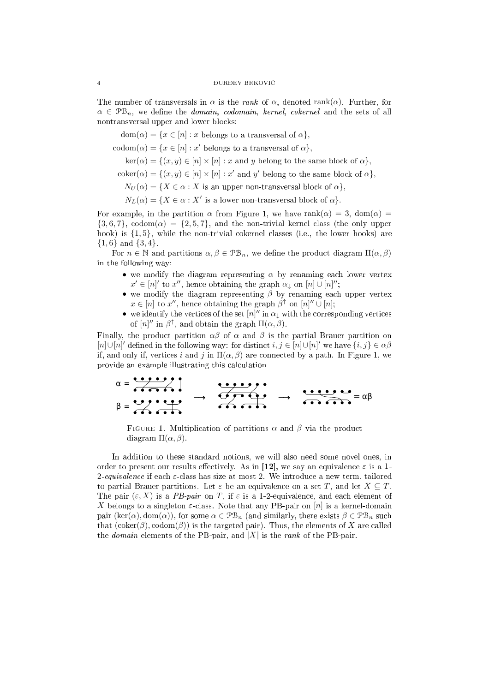The number of transversals in  $\alpha$  is the *rank* of  $\alpha$ , denoted rank $(\alpha)$ . Further, for  $\alpha \in \mathcal{PB}_n$ , we define the *domain*, *codomain*, *kernel*, *cokernel* and the sets of all nontransversal upper and lower blo
ks:

 $dom(\alpha) = \{x \in [n] : x \text{ belongs to a transversal of } \alpha\},\$ 

 $codom(\alpha) = \{x \in [n] : x' \text{ belongs to a transversal of } \alpha\},\$ 

 $\ker(\alpha) = \{ (x, y) \in [n] \times [n] : x \text{ and } y \text{ belong to the same block of } \alpha \},\$ 

 $\text{coker}(\alpha) = \{(x, y) \in [n] \times [n] : x' \text{ and } y' \text{ belong to the same block of } \alpha\},\$ 

 $N_U(\alpha) = \{ X \in \alpha : X \text{ is an upper non-transversal block of } \alpha \},\$ 

 $N_L(\alpha) = \{ X \in \alpha : X' \text{ is a lower non-transversal block of } \alpha \}.$ 

For example, in the partition  $\alpha$  from Figure 1, we have rank $(\alpha) = 3$ , dom $(\alpha) =$  $\{3, 6, 7\}$ , codom $(\alpha) = \{2, 5, 7\}$ , and the non-trivial kernel class (the only upper hook) is  $\{1, 5\}$ , while the non-trivial cokernel classes (i.e., the lower hooks) are  ${1, 6}$  and  ${3, 4}$ .

For  $n \in \mathbb{N}$  and partitions  $\alpha, \beta \in \mathcal{PB}_n$ , we define the product diagram  $\Pi(\alpha, \beta)$ in the following way:

- we modify the diagram representing  $\alpha$  by renaming each lower vertex  $x' \in [n]'$  to  $x''$ , hence obtaining the graph  $\alpha_{\downarrow}$  on  $[n] \cup [n]''$ ;
- we modify the diagram representing  $\beta$  by renaming each upper vertex  $x \in [n]$  to  $x''$ , hence obtaining the graph  $\beta^{\uparrow}$  on  $[n]'' \cup [n]$ ;
- we identify the vertices of the set  $[n]''$  in  $\alpha_{\downarrow}$  with the corresponding vertices of  $[n]''$  in  $\beta^{\uparrow}$ , and obtain the graph  $\Pi(\alpha, \beta)$ .

Finally, the product partition  $\alpha\beta$  of  $\alpha$  and  $\beta$  is the partial Brauer partition on [n]∪[n]' defined in the following way: for distinct  $i, j \in [n] \cup [n]$ ' we have  $\{i, j\} \in \alpha \beta$ if, and only if, vertices i and j in  $\Pi(\alpha, \beta)$  are connected by a path. In Figure 1, we provide an example illustrating this calculation.

$$
\alpha = \frac{\alpha + \frac{1}{2} \cdot \frac{1}{2}}{\alpha + \frac{1}{2} \cdot \frac{1}{2}} \rightarrow \frac{\alpha + \frac{1}{2} \cdot \frac{1}{2}}{\alpha + \frac{1}{2} \cdot \frac{1}{2}} \rightarrow \frac{\alpha + \frac{1}{2} \cdot \frac{1}{2}}{\alpha + \frac{1}{2} \cdot \frac{1}{2}} = \alpha \beta
$$

FIGURE 1. Multiplication of partitions  $\alpha$  and  $\beta$  via the product diagram  $\Pi(\alpha, \beta)$ .

In addition to these standard notions, we will also need some novel ones, in order to present our results effectively. As in [12], we say an equivalence  $\varepsilon$  is a 1-2-equivalence if each  $\varepsilon$ -class has size at most 2. We introduce a new term, tailored to partial Brauer partitions. Let  $\varepsilon$  be an equivalence on a set T, and let  $X \subseteq T$ . The pair  $(\varepsilon, X)$  is a *PB-pair* on T, if  $\varepsilon$  is a 1-2-equivalence, and each element of X belongs to a singleton  $\varepsilon$ -class. Note that any PB-pair on [n] is a kernel-domain pair  $(\text{ker}(\alpha), \text{dom}(\alpha))$ , for some  $\alpha \in \mathcal{PB}_n$  (and similarly, there exists  $\beta \in \mathcal{PB}_n$  such that  $(\mathrm{coker}(\beta), \mathrm{codom}(\beta))$  is the targeted pair). Thus, the elements of X are called the *domain* elements of the PB-pair, and  $|X|$  is the *rank* of the PB-pair.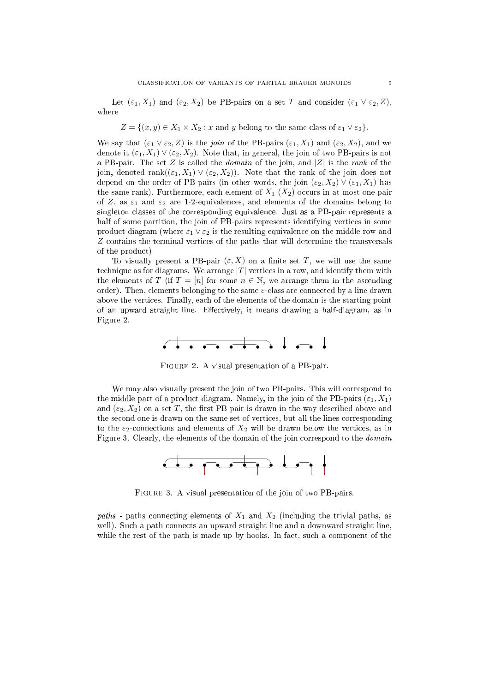Let  $(\varepsilon_1, X_1)$  and  $(\varepsilon_2, X_2)$  be PB-pairs on a set T and consider  $(\varepsilon_1 \vee \varepsilon_2, Z)$ , where

$$
Z = \{(x, y) \in X_1 \times X_2 : x \text{ and } y \text{ belong to the same class of } \varepsilon_1 \vee \varepsilon_2\}.
$$

We say that  $(\varepsilon_1 \vee \varepsilon_2, Z)$  is the join of the PB-pairs  $(\varepsilon_1, X_1)$  and  $(\varepsilon_2, X_2)$ , and we denote it  $(\varepsilon_1, X_1) \vee (\varepsilon_2, X_2)$ . Note that, in general, the join of two PB-pairs is not a PB-pair. The set Z is called the *domain* of the join, and  $|Z|$  is the rank of the join, denoted rank $((\varepsilon_1, X_1) \vee (\varepsilon_2, X_2))$ . Note that the rank of the join does not depend on the order of PB-pairs (in other words, the join  $(\varepsilon_2, X_2) \vee (\varepsilon_1, X_1)$  has the same rank). Furthermore, each element of  $X_1$   $(X_2)$  occurs in at most one pair of Z, as  $\varepsilon_1$  and  $\varepsilon_2$  are 1-2-equivalences, and elements of the domains belong to singleton lasses of the orresponding equivalen
e. Just as a PB-pair represents a half of some partition, the join of PB-pairs represents identifying vertices in some product diagram (where  $\varepsilon_1 \vee \varepsilon_2$  is the resulting equivalence on the middle row and Z contains the terminal vertices of the paths that will determine the transversals of the produ
t).

To visually present a PB-pair  $(\varepsilon, X)$  on a finite set T, we will use the same technique as for diagrams. We arrange  $|T|$  vertices in a row, and identify them with the elements of T (if  $T = [n]$  for some  $n \in \mathbb{N}$ , we arrange them in the ascending order). Then, elements belonging to the same  $\varepsilon$ -class are connected by a line drawn above the verti
es. Finally, ea
h of the elements of the domain is the starting point of an upward straight line. Effectively, it means drawing a half-diagram, as in Figure 2.



Figure 2. A visual presentation of a PB-pair.

We may also visually present the join of two PB-pairs. This will correspond to the middle part of a product diagram. Namely, in the join of the PB-pairs  $(\varepsilon_1, X_1)$ and  $(\varepsilon_2, X_2)$  on a set T, the first PB-pair is drawn in the way described above and the se
ond one is drawn on the same set of verti
es, but all the lines orresponding to the  $\varepsilon_2$ -connections and elements of  $X_2$  will be drawn below the vertices, as in Figure 3. Clearly, the elements of the domain of the join correspond to the *domain* 



Figure 3. A visual presentation of the join of two PB-pairs.

paths - paths connecting elements of  $X_1$  and  $X_2$  (including the trivial paths, as well). Such a path connects an upward straight line and a downward straight line, while the rest of the path is made up by hooks. In fact, such a component of the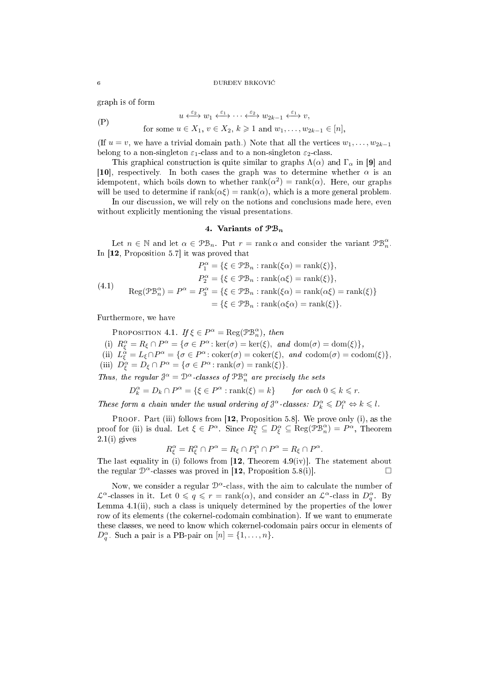#### 6 **DUREV BRKOVIĆ**

graph is of form

$$
(P) \t u \xleftarrow{\varepsilon_2} w_1 \xleftarrow{\varepsilon_1} \cdots \xleftarrow{\varepsilon_2} w_{2k-1} \xleftarrow{\varepsilon_1} v,
$$

for some  $u \in X_1, v \in X_2, k \geq 1$  and  $w_1, \ldots, w_{2k-1} \in [n]$ ,

(If  $u = v$ , we have a trivial domain path.) Note that all the vertices  $w_1, \ldots, w_{2k-1}$ belong to a non-singleton  $\varepsilon_1$ -class and to a non-singleton  $\varepsilon_2$ -class.

This graphical construction is quite similar to graphs  $\Lambda(\alpha)$  and  $\Gamma_{\alpha}$  in [9] and [10], respectively. In both cases the graph was to determine whether  $\alpha$  is an idempotent, which boils down to whether  $rank(\alpha^2) = rank(\alpha)$ . Here, our graphs will be used to determine if  $rank(\alpha \xi) = rank(\alpha)$ , which is a more general problem.

In our discussion, we will rely on the notions and conclusions made here, even without explicitly mentioning the visual presentations.

## 4. Variants of  $\mathfrak{P}_{n}$

Let  $n \in \mathbb{N}$  and let  $\alpha \in \mathcal{PB}_n$ . Put  $r = \text{rank }\alpha$  and consider the variant  $\mathcal{PB}_n^{\alpha}$ . In  $[12,$  Proposition 5.7 it was proved that

$$
P_1^{\alpha} = \{ \xi \in \mathcal{PB}_n : \text{rank}(\xi \alpha) = \text{rank}(\xi) \},
$$

$$
P_2^{\alpha} = \{ \xi \in \mathcal{PB}_n : \text{rank}(\alpha \xi) = \text{rank}(\xi) \},
$$

$$
\text{Reg}(\mathcal{PB}_n^{\alpha}) = P^{\alpha} = P_3^{\alpha} = \{ \xi \in \mathcal{PB}_n : \text{rank}(\xi \alpha) = \text{rank}(\alpha \xi) = \text{rank}(\xi) \}
$$

$$
= \{ \xi \in \mathcal{PB}_n : \text{rank}(\alpha \xi \alpha) = \text{rank}(\xi) \}.
$$

Furthermore, we have

PROPOSITION 4.1. If  $\xi \in P^{\alpha} = \text{Reg}(\mathcal{P} \mathcal{B}_{n}^{\alpha})$ , then

(i)  $R_{\xi}^{\alpha} = R_{\xi} \cap P^{\alpha} = {\sigma \in P^{\alpha} : \ker(\sigma) = \ker(\xi), \text{ and } \dim(\sigma) = \dim(\xi)},$ 

(ii)  $L_{\xi}^{\alpha} = L_{\xi} \cap P^{\alpha} = {\sigma \in P^{\alpha} : \text{coker}(\sigma) = \text{coker}(\xi), \text{ and } \text{codom}(\sigma) = \text{codom}(\xi)},$ 

(iii)  $D_{\xi}^{\alpha} = D_{\xi} \cap P^{\alpha} = {\sigma \in P^{\alpha} : \text{rank}(\sigma) = \text{rank}(\xi)}.$ 

Thus, the regular  $\mathfrak{J}^{\alpha} = \mathfrak{D}^{\alpha}$ -classes of  $\mathfrak{PB}_n^{\alpha}$  are precisely the sets

$$
D_k^{\alpha} = D_k \cap P^{\alpha} = \{ \xi \in P^{\alpha} : \text{rank}(\xi) = k \} \quad \text{for each } 0 \leq k \leq r.
$$

These form a chain under the usual ordering of  $\mathcal{J}^{\alpha}$ -classes:  $D_k^{\alpha} \leq D_l^{\alpha} \Leftrightarrow k \leq l$ .

PROOF. Part (iii) follows from  $[12,$  Proposition 5.8. We prove only (i), as the proof for (ii) is dual. Let  $\xi \in P^{\alpha}$ . Since  $R^{\alpha}_{\xi} \subseteq D^{\alpha}_{\xi} \subseteq \text{Reg}(\mathcal{P} \mathcal{B}^{\alpha}_{n}) = P^{\alpha}$ , Theorem  $2.1(i)$  gives

$$
R_{\xi}^{\alpha} = R_{\xi}^{\alpha} \cap P^{\alpha} = R_{\xi} \cap P_{1}^{\alpha} \cap P^{\alpha} = R_{\xi} \cap P^{\alpha}.
$$

The last equality in (i) follows from  $[12,$  Theorem 4.9(iv). The statement about the regular  $\mathcal{D}^{\alpha}$ -classes was proved in [12, Proposition 5.8(i)].

Now, we consider a regular  $\mathcal{D}^{\alpha}$ -class, with the aim to calculate the number of  $\mathcal{L}^{\alpha}$ -classes in it. Let  $0 \leqslant q \leqslant r = \text{rank}(\alpha)$ , and consider an  $\mathcal{L}^{\alpha}$ -class in  $D_q^{\alpha}$ . By Lemma 4.1(ii), such a class is uniquely determined by the properties of the lower row of its elements (the okernelodomain ombination). If we want to enumerate these classes, we need to know which cokernel-codomain pairs occur in elements of  $D_q^{\alpha}$ . Such a pair is a PB-pair on  $[n] = \{1, \ldots, n\}.$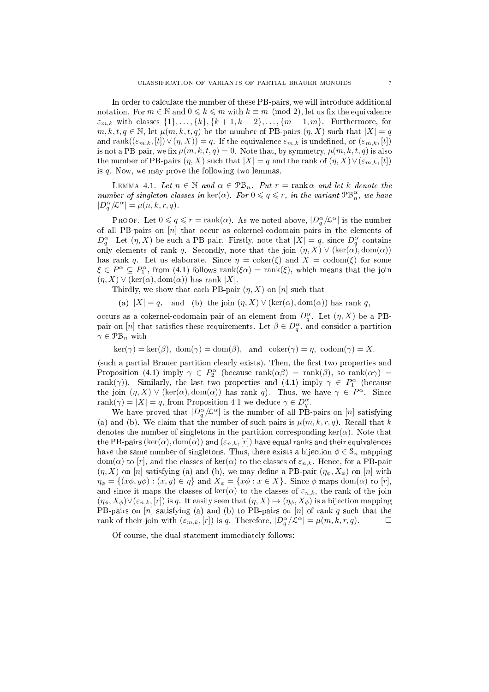In order to calculate the number of these PB-pairs, we will introduce additional notation. For  $m \in \mathbb{N}$  and  $0 \leq k \leq m$  with  $k \equiv m \pmod{2}$ , let us fix the equivalence  $\varepsilon_{m,k}$  with classes  $\{1\}, \ldots, \{k\}, \{k+1, k+2\}, \ldots, \{m-1, m\}.$  Furthermore, for  $m, k, t, q \in \mathbb{N}$ , let  $\mu(m, k, t, q)$  be the number of PB-pairs  $(\eta, X)$  such that  $|X| = q$ and rank $((\varepsilon_{m,k}, [t]) \vee (\eta, X)) = q$ . If the equivalence  $\varepsilon_{m,k}$  is undefined, or  $(\varepsilon_{m,k}, [t])$ is not a PB-pair, we fix  $\mu(m, k, t, q) = 0$ . Note that, by symmetry,  $\mu(m, k, t, q)$  is also the number of PB-pairs  $(\eta, X)$  such that  $|X| = q$  and the rank of  $(\eta, X) \vee (\varepsilon_{m,k}, [t])$ is q. Now, we may prove the following two lemmas.

LEMMA 4.1. Let  $n \in \mathbb{N}$  and  $\alpha \in \mathcal{PB}_n$ . Put  $r = \text{rank}\,\alpha$  and let k denote the number of singleton classes in  $\ker(\alpha)$ . For  $0 \leqslant q \leqslant r$ , in the variant  $\mathfrak{PB}_n^{\alpha}$ , we have  $|D_q^{\alpha}/\mathcal{L}^{\alpha}| = \mu(n,k,r,q).$ 

PROOF. Let  $0 \leqslant q \leqslant r = \text{rank}(\alpha)$ . As we noted above,  $|D_q^{\alpha}/\mathcal{L}^{\alpha}|$  is the number of all PB-pairs on  $[n]$  that occur as cokernel-codomain pairs in the elements of  $D_q^{\alpha}$ . Let  $(\eta, X)$  be such a PB-pair. Firstly, note that  $|X| = q$ , since  $D_q^{\alpha}$  contains only elements of rank q. Secondly, note that the join  $(\eta, X) \vee (\text{ker}(\alpha), \text{dom}(\alpha))$ has rank q. Let us elaborate. Since  $\eta = \text{coker}(\xi)$  and  $X = \text{codom}(\xi)$  for some  $\xi \in P^{\alpha} \subseteq P_1^{\alpha}$ , from (4.1) follows rank( $\xi \alpha$ ) = rank( $\xi$ ), which means that the join  $(\eta, X) \vee (\ker(\alpha), \text{dom}(\alpha))$  has rank |X|.

Thirdly, we show that each PB-pair  $(\eta, X)$  on  $[n]$  such that

(a)  $|X| = q$ , and (b) the join  $(\eta, X) \vee (\ker(\alpha), \text{dom}(\alpha))$  has rank q,

occurs as a cokernel-codomain pair of an element from  $D_q^{\alpha}$ . Let  $(\eta, X)$  be a PBpair on [n] that satisfies these requirements. Let  $\beta \in D_q^{\alpha}$ , and consider a partition  $\gamma \in \mathcal{PB}_n$  with

 $\ker(\gamma) = \ker(\beta)$ ,  $\dim(\gamma) = \dim(\beta)$ , and  $\operatorname{coker}(\gamma) = \eta$ ,  $\operatorname{codom}(\gamma) = X$ .

(such a partial Brauer partition clearly exists). Then, the first two properties and Proposition (4.1) imply  $\gamma \in P_2^{\alpha}$  (because rank $(\alpha \beta)$  = rank $(\beta)$ , so rank $(\alpha \gamma)$  = rank( $\gamma$ )). Similarly, the last two properties and (4.1) imply  $\gamma \in P_1^{\alpha}$  (because the join  $(\eta, X) \vee (\ker(\alpha), \text{dom}(\alpha))$  has rank q. Thus, we have  $\gamma \in P^{\alpha}$ . Since rank $(\gamma) = |X| = q$ , from Proposition 4.1 we deduce  $\gamma \in D_q^{\alpha}$ .

We have proved that  $|D_q^{\alpha}/\mathcal{L}^{\alpha}|$  is the number of all PB-pairs on  $[n]$  satisfying (a) and (b). We claim that the number of such pairs is  $\mu(m, k, r, q)$ . Recall that k denotes the number of singletons in the partition corresponding  $\ker(\alpha)$ . Note that the PB-pairs (ker( $\alpha$ ), dom( $\alpha$ )) and ( $\varepsilon_{n,k}$ , [r]) have equal ranks and their equivalences have the same number of singletons. Thus, there exists a bijection  $\phi \in \mathcal{S}_n$  mapping dom( $\alpha$ ) to [r], and the classes of ker( $\alpha$ ) to the classes of  $\varepsilon_{n,k}$ . Hence, for a PB-pair  $(\eta, X)$  on [n] satisfying (a) and (b), we may define a PB-pair  $(\eta_{\phi}, X_{\phi})$  on [n] with  $\eta_{\phi} = \{(x\phi, y\phi) : (x, y) \in \eta\}$  and  $X_{\phi} = \{x\phi : x \in X\}$ . Since  $\phi$  maps dom( $\alpha$ ) to [r], and since it maps the classes of  $ker(\alpha)$  to the classes of  $\varepsilon_{n,k}$ , the rank of the join  $(\eta_{\phi}, X_{\phi}) \vee (\varepsilon_{n,k}, [r])$  is q. It easily seen that  $(\eta, X) \mapsto (\eta_{\phi}, X_{\phi})$  is a bijection mapping PB-pairs on  $[n]$  satisfying (a) and (b) to PB-pairs on  $[n]$  of rank q such that the rank of their join with  $(\varepsilon_{m,k}, [r])$  is q. Therefore,  $|D_q^{\alpha}/\mathcal{L}^{\alpha}| = \mu(m,k,r,q)$ .

Of ourse, the dual statement immediately follows: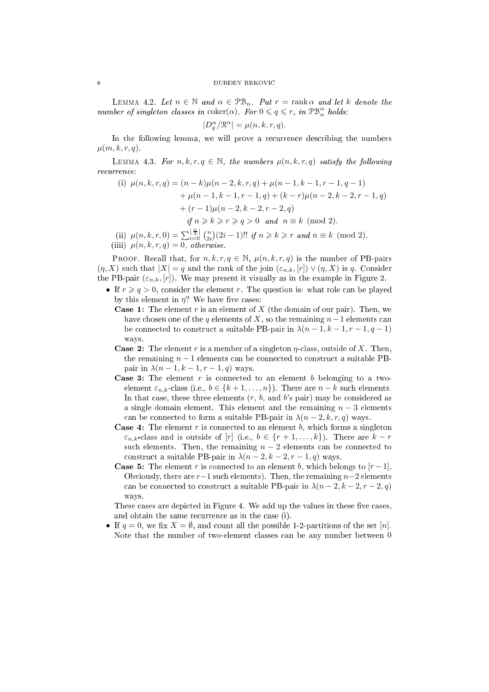LEMMA 4.2. Let  $n \in \mathbb{N}$  and  $\alpha \in \mathcal{PB}_n$ . Put  $r = \text{rank}\,\alpha$  and let k denote the number of singleton classes in coker( $\alpha$ ). For  $0 \leq q \leq r$ , in  $\mathfrak{PB}_n^{\alpha}$  holds:

$$
|D_q^{\alpha}/\mathcal{R}^{\alpha}| = \mu(n,k,r,q).
$$

In the following lemma, we will prove a recurrence describing the numbers  $\mu(m, k, r, q)$ .

LEMMA 4.3. For  $n, k, r, q \in \mathbb{N}$ , the numbers  $\mu(n, k, r, q)$  satisfy the following recurrence.

(i) 
$$
\mu(n, k, r, q) = (n - k)\mu(n - 2, k, r, q) + \mu(n - 1, k - 1, r - 1, q - 1)
$$
  
\t $+ \mu(n - 1, k - 1, r - 1, q) + (k - r)\mu(n - 2, k - 2, r - 1, q)$   
\t $+ (r - 1)\mu(n - 2, k - 2, r - 2, q)$   
\t $\text{if } n \ge k \ge r \ge q > 0 \text{ and } n \equiv k \pmod{2}.$   
\t(ii)  $\mu(n, k, r, 0) = \sum_{i=0}^{\lfloor \frac{n}{2} \rfloor} {n \choose 2i} (2i - 1)!! \text{ if } n \ge k \ge r \text{ and } n \equiv k \pmod{2}.$ 

(iiii)  $\mu(n, k, r, q) = 0$ , otherwise.

**PROOF.** Recall that, for  $n, k, r, q \in \mathbb{N}$ ,  $\mu(n, k, r, q)$  is the number of PB-pairs  $(\eta, X)$  such that  $|X| = q$  and the rank of the join  $(\varepsilon_{n,k}, [r]) \vee (\eta, X)$  is q. Consider the PB-pair  $(\varepsilon_{n,k}, [r])$ . We may present it visually as in the example in Figure 2.

- If  $r \geqslant q > 0$ , consider the element r. The question is: what role can be played by this element in  $\eta$ ? We have five cases:
	- **Case 1:** The element r is an element of X (the domain of our pair). Then, we have chosen one of the q elements of X, so the remaining  $n-1$  elements can be connected to construct a suitable PB-pair in  $\lambda(n-1,k-1,r-1,q-1)$ ways.
	- **Case 2:** The element r is a member of a singleton  $\eta$ -class, outside of X. Then, the remaining  $n-1$  elements can be connected to construct a suitable PBpair in  $\lambda(n-1, k-1, r-1, q)$  ways.
	- **Case 3:** The element  $r$  is connected to an element  $b$  belonging to a twoelement  $\varepsilon_{n,k}$ -class (i.e.,  $b \in \{k+1,\ldots,n\}$ ). There are  $n-k$  such elements. In that case, these three elements  $(r, b, \text{ and } b)$ 's pair) may be considered as a single domain element. This element and the remaining  $n-3$  elements can be connected to form a suitable PB-pair in  $\lambda(n-2, k, r, q)$  ways.
	- **Case 4:** The element  $r$  is connected to an element  $b$ , which forms a singleton  $\varepsilon_{n,k}$ -class and is outside of [r] (i.e.,  $b \in \{r+1,\ldots,k\}$ ). There are  $k-r$ such elements. Then, the remaining  $n-2$  elements can be connected to construct a suitable PB-pair in  $\lambda(n-2, k-2, r-1, q)$  ways.
	- **Case 5:** The element r is connected to an element b, which belongs to  $[r-1]$ . Obviously, there are  $r-1$  such elements). Then, the remaining  $n-2$  elements can be connected to construct a suitable PB-pair in  $\lambda(n-2, k-2, r-2, q)$ ways.

These cases are depicted in Figure 4. We add up the values in these five cases, and obtain the same recurrence as in the case (i).

• If  $q = 0$ , we fix  $X = \emptyset$ , and count all the possible 1-2-partitions of the set [n]. Note that the number of two-element lasses an be any number between 0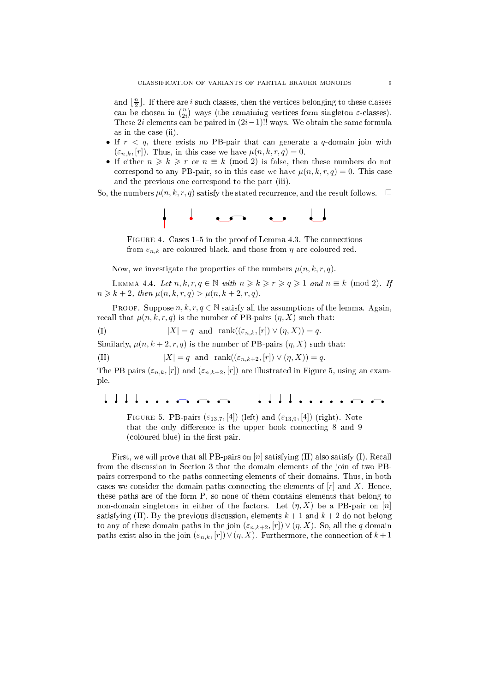and  $\lfloor \frac{n}{2} \rfloor$ . If there are *i* such classes, then the vertices belonging to these classes can be chosen in  $\binom{n}{2i}$  ways (the remaining vertices form singleton  $\varepsilon$ -classes). These  $2i$  elements can be paired in  $(2i-1)!!$  ways. We obtain the same formula as in the case (ii).

- If  $r < q$ , there exists no PB-pair that can generate a q-domain join with  $(\varepsilon_{n,k}, [r])$ . Thus, in this case we have  $\mu(n,k,r,q) = 0$ .
- If either  $n \geq k \geq r$  or  $n \equiv k \pmod{2}$  is false, then these numbers do not correspond to any PB-pair, so in this case we have  $\mu(n, k, r, q) = 0$ . This case and the previous one orrespond to the part (iii).

So, the numbers  $\mu(n, k, r, q)$  satisfy the stated recurrence, and the result follows.  $\Box$ 



FIGURE 4. Cases 1-5 in the proof of Lemma 4.3. The connections from  $\varepsilon_{n,k}$  are coloured black, and those from  $\eta$  are coloured red.

Now, we investigate the properties of the numbers  $\mu(n, k, r, q)$ .

LEMMA 4.4. Let  $n, k, r, q \in \mathbb{N}$  with  $n \geq k \geq r \geq q \geq 1$  and  $n \equiv k \pmod{2}$ . If  $n \geq k + 2$ , then  $\mu(n, k, r, q) > \mu(n, k + 2, r, q)$ .

PROOF. Suppose  $n, k, r, q \in \mathbb{N}$  satisfy all the assumptions of the lemma. Again, recall that  $\mu(n, k, r, q)$  is the number of PB-pairs  $(\eta, X)$  such that:

(I)  $|X| = q$  and  $\text{rank}((\varepsilon_{n,k}, [r]) \vee (\eta, X)) = q.$ 

Similarly,  $\mu(n, k+2, r, q)$  is the number of PB-pairs  $(\eta, X)$  such that:

(II)  $|X| = q$  and  $\text{rank}((\varepsilon_{n,k+2}, [r]) \vee (\eta, X)) = q.$ 

The PB pairs  $(\varepsilon_{n,k}, [r])$  and  $(\varepsilon_{n,k+2}, [r])$  are illustrated in Figure 5, using an example.

. . . . . . . .  $1111$  $\cdots$   $\Omega$  $\perp$ 

FIGURE 5. PB-pairs ( $\varepsilon_{13,7}$ , [4]) (left) and ( $\varepsilon_{13,9}$ , [4]) (right). Note that the only difference is the upper hook connecting 8 and 9 (coloured blue) in the first pair.

First, we will prove that all PB-pairs on  $[n]$  satisfying (II) also satisfy (I). Recall from the discussion in Section 3 that the domain elements of the join of two PBpairs orrespond to the paths onne
ting elements of their domains. Thus, in both cases we consider the domain paths connecting the elements of  $[r]$  and X. Hence, these paths are of the form P, so none of them ontains elements that belong to non-domain singletons in either of the factors. Let  $(\eta, X)$  be a PB-pair on  $[n]$ satisfying (II). By the previous discussion, elements  $k+1$  and  $k+2$  do not belong to any of these domain paths in the join  $(\varepsilon_{n,k+2}, [r]) \vee (\eta, X)$ . So, all the q domain paths exist also in the join  $(\varepsilon_{n,k}, [r]) \vee (\eta, X)$ . Furthermore, the connection of  $k+1$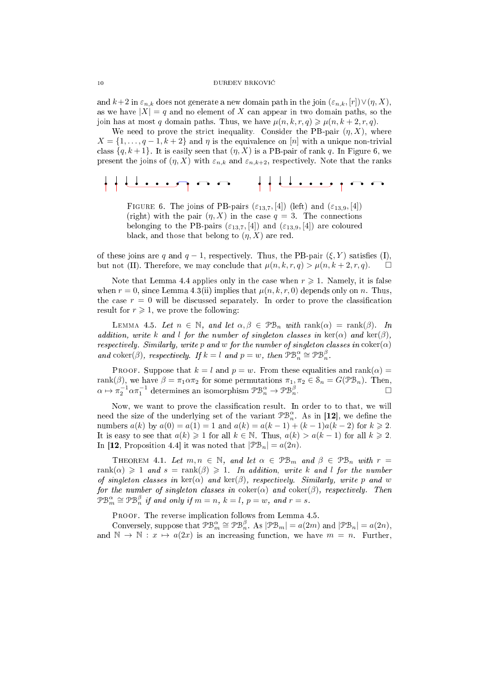and  $k+2$  in  $\varepsilon_{n,k}$  does not generate a new domain path in the join  $(\varepsilon_{n,k}, [r]) \vee (\eta, X)$ , as we have  $|X| = q$  and no element of X can appear in two domain paths, so the join has at most q domain paths. Thus, we have  $\mu(n, k, r, q) \geq \mu(n, k + 2, r, q)$ .

We need to prove the strict inequality. Consider the PB-pair  $(\eta, X)$ , where  $X = \{1, \ldots, q-1, k+2\}$  and  $\eta$  is the equivalence on [n] with a unique non-trivial class  ${q, k+1}$ . It is easily seen that  $(\eta, X)$  is a PB-pair of rank q. In Figure 6, we present the joins of  $(\eta, X)$  with  $\varepsilon_{n,k}$  and  $\varepsilon_{n,k+2}$ , respectively. Note that the ranks

# 

FIGURE 6. The joins of PB-pairs  $(\varepsilon_{13,7}, [4])$  (left) and  $(\varepsilon_{13,9}, [4])$ (right) with the pair  $(\eta, X)$  in the case  $q = 3$ . The connections belonging to the PB-pairs  $(\varepsilon_{13,7}, [4])$  and  $(\varepsilon_{13,9}, [4])$  are coloured black, and those that belong to  $(\eta, X)$  are red.

of these joins are q and  $q-1$ , respectively. Thus, the PB-pair  $(\xi, Y)$  satisfies (I), but not (II). Therefore, we may conclude that  $\mu(n, k, r, q) > \mu(n, k + 2, r, q)$ .

Note that Lemma 4.4 applies only in the case when  $r \geq 1$ . Namely, it is false when  $r = 0$ , since Lemma 4.3(ii) implies that  $\mu(n, k, r, 0)$  depends only on n. Thus, the case  $r = 0$  will be discussed separately. In order to prove the classification result for  $r \geq 1$ , we prove the following:

LEMMA 4.5. Let  $n \in \mathbb{N}$ , and let  $\alpha, \beta \in \mathcal{PB}_n$  with rank $(\alpha) = \text{rank}(\beta)$ . In addition, write k and l for the number of singleton classes in  $\text{ker}(\alpha)$  and  $\text{ker}(\beta)$ , respectively. Similarly, write p and w for the number of singleton classes in  $\text{coker}(\alpha)$ and coker( $\beta$ ), respectively. If  $k = l$  and  $p = w$ , then  $\mathfrak{PB}_n^{\alpha} \cong \mathfrak{PB}_n^{\beta}$ .

PROOF. Suppose that  $k = l$  and  $p = w$ . From these equalities and rank $(\alpha)$ rank( $\beta$ ), we have  $\beta = \pi_1 \alpha \pi_2$  for some permutations  $\pi_1, \pi_2 \in \mathcal{S}_n = G(\mathcal{PB}_n)$ . Then,  $\alpha \mapsto \pi_2^{-1} \alpha \pi_1^{-1}$  determines an isomorphism  $\mathcal{PB}_n^{\alpha} \to \mathcal{PB}_n^{\beta}$ .

Now, we want to prove the classification result. In order to to that, we will need the size of the underlying set of the variant  $\mathfrak{PB}_n^{\alpha}$ . As in [12], we define the numbers  $a(k)$  by  $a(0) = a(1) = 1$  and  $a(k) = a(k-1) + (k-1)a(k-2)$  for  $k \ge 2$ . It is easy to see that  $a(k) \geq 1$  for all  $k \in \mathbb{N}$ . Thus,  $a(k) > a(k-1)$  for all  $k \geq 2$ . In [12, Proposition 4.4] it was noted that  $|\mathcal{PB}_n| = a(2n)$ .

THEOREM 4.1. Let  $m, n \in \mathbb{N}$ , and let  $\alpha \in \mathcal{PB}_m$  and  $\beta \in \mathcal{PB}_n$  with  $r =$ rank( $\alpha$ )  $\geq 1$  and  $s = \text{rank}(\beta) \geq 1$ . In addition, write k and l for the number of singleton classes in  $\text{ker}(\alpha)$  and  $\text{ker}(\beta)$ , respectively. Similarly, write p and w for the number of singleton classes in  $\operatorname{coker}(\alpha)$  and  $\operatorname{coker}(\beta)$ , respectively. Then  $\mathcal{P}\mathcal{B}_m^{\alpha} \cong \mathcal{P}\mathcal{B}_n^{\beta}$  if and only if  $m = n, k = l, p = w,$  and  $r = s$ .

PROOF. The reverse implication follows from Lemma 4.5.

Conversely, suppose that  $\mathcal{PB}_m^{\alpha} \cong \mathcal{PB}_n^{\beta}$ . As  $|\mathcal{PB}_m| = a(2m)$  and  $|\mathcal{PB}_n| = a(2n)$ , and  $\mathbb{N} \to \mathbb{N}$ :  $x \mapsto a(2x)$  is an increasing function, we have  $m = n$ . Further,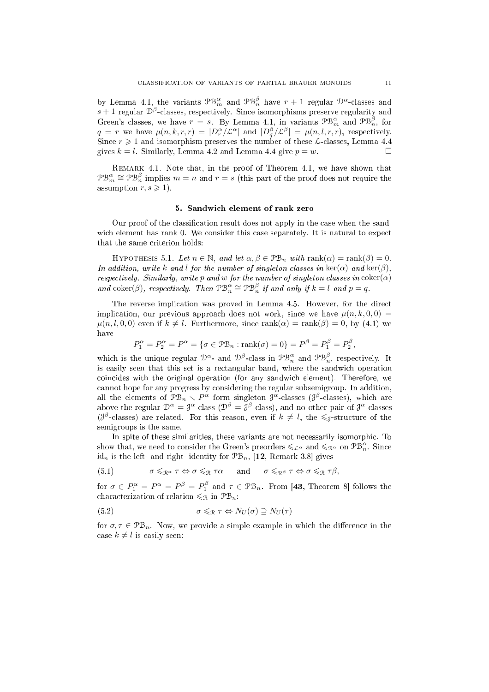by Lemma 4.1, the variants  $\mathcal{PB}_m^{\alpha}$  and  $\mathcal{PB}_n^{\beta}$  have  $r+1$  regular  $\mathcal{D}^{\alpha}$ -classes and  $s + 1$  regular  $\mathcal{D}^{\beta}$ -classes, respectively. Since isomorphisms preserve regularity and Green's classes, we have  $r = s$ . By Lemma 4.1, in variants  $\mathcal{P}\mathcal{B}_{m}^{\alpha}$  and  $\mathcal{P}\mathcal{B}_{n}^{\beta}$ , for  $q = r$  we have  $\mu(n, k, r, r) = |D_r^{\alpha}/\mathcal{L}^{\alpha}|$  and  $|D_q^{\beta}/\mathcal{L}^{\beta}| = \mu(n, l, r, r)$ , respectively. Since  $r \geq 1$  and isomorphism preserves the number of these  $\mathcal{L}$ -classes, Lemma 4.4 gives  $k = l$ . Similarly, Lemma 4.2 and Lemma 4.4 give  $p = w$ .

Remark 4.1. Note that, in the proof of Theorem 4.1, we have shown that  $\mathcal{PB}_m^{\alpha} \cong \mathcal{PB}_n^{\beta}$  implies  $m = n$  and  $r = s$  (this part of the proof does not require the assumption  $r, s \geqslant 1$ .

## 5. Sandwi
h element of rank zero

Our proof of the classification result does not apply in the case when the sandwich element has rank 0. We consider this case separately. It is natural to expect that the same criterion holds:

HYPOTHESIS 5.1. Let  $n \in \mathbb{N}$ , and let  $\alpha, \beta \in \mathcal{PB}_n$  with  $\text{rank}(\alpha) = \text{rank}(\beta) = 0$ . In addition, write k and l for the number of singleton classes in  $\ker(\alpha)$  and  $\ker(\beta)$ , respectively. Similarly, write p and w for the number of singleton classes in  $\text{coker}(\alpha)$ and coker( $\beta$ ), respectively. Then  $\mathfrak{PB}_n^{\alpha} \cong \mathfrak{PB}_n^{\beta}$  if and only if  $k = l$  and  $p = q$ .

The reverse implication was proved in Lemma 4.5. However, for the direct implication, our previous approach does not work, since we have  $\mu(n, k, 0, 0) =$  $\mu(n, l, 0, 0)$  even if  $k \neq l$ . Furthermore, since rank $(\alpha) = \text{rank}(\beta) = 0$ , by (4.1) we have

$$
P_1^{\alpha} = P_2^{\alpha} = P^{\alpha} = \{ \sigma \in \mathcal{PB}_n : \text{rank}(\sigma) = 0 \} = P^{\beta} = P_1^{\beta} = P_2^{\beta}
$$

which is the unique regular  $\mathcal{D}^{\alpha}$ - and  $\mathcal{D}^{\beta}$ -class in  $\mathcal{PB}_n^{\alpha}$  and  $\mathcal{PB}_n^{\beta}$ , respectively. It is easily seen that this set is a rectangular band, where the sandwich operation oin
ides with the original operation (for any sandwi
h element). Therefore, we annot hope for any progress by onsidering the regular subsemigroup. In addition, all the elements of  $\mathcal{P}_n \setminus P^\alpha$  form singleton  $\mathcal{J}^\alpha$ -classes ( $\mathcal{J}^\beta$ -classes), which are above the regular  $\mathcal{D}^{\alpha} = \mathcal{J}^{\alpha}$ -class  $(\mathcal{D}^{\beta} = \mathcal{J}^{\beta}$ -class), and no other pair of  $\mathcal{J}^{\alpha}$ -classes ( $\mathcal{J}^{\beta}$ -classes) are related. For this reason, even if  $k \neq l$ , the  $\leq_{\mathcal{J}}$ -structure of the semigroups is the same.

In spite of these similarities, these variants are not necessarily isomorphic. To show that, we need to consider the Green's preorders  $\leqslant_{\mathcal{L}^{\alpha}}$  and  $\leqslant_{\mathcal{R}^{\alpha}}$  on  $\mathcal{PB}_n^{\alpha}$ . Since  $id_n$  is the left- and right- identity for  $\mathfrak{PB}_n$ , [12, Remark 3.8] gives

(5.1) 
$$
\sigma \leq_{\mathbb{R}^{\alpha}} \tau \Leftrightarrow \sigma \leq_{\mathbb{R}} \tau \alpha
$$
 and  $\sigma \leq_{\mathbb{R}^{\beta}} \tau \Leftrightarrow \sigma \leq_{\mathbb{R}} \tau \beta$ ,

for  $\sigma \in P_1^{\alpha} = P^{\alpha} = P_1^{\beta}$  and  $\tau \in \mathfrak{PB}_n$ . From [43, Theorem 8] follows the characterization of relation  $\leqslant_{\mathcal{R}}$  in  $\mathcal{PB}_n$ .

$$
(5.2) \qquad \sigma \leqslant_{\mathcal{R}} \tau \Leftrightarrow N_U(\sigma) \supseteq N_U(\tau)
$$

for  $\sigma, \tau \in \mathfrak{PB}_n$ . Now, we provide a simple example in which the difference in the case  $k \neq l$  is easily seen:

,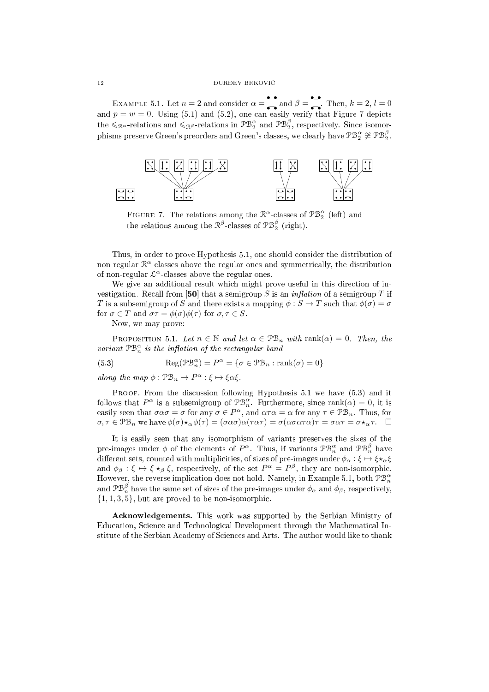EXAMPLE 5.1. Let  $n = 2$  and consider  $\alpha =$  and  $\beta =$  Then,  $k = 2, l = 0$ and  $p = w = 0$ . Using (5.1) and (5.2), one can easily verify that Figure 7 depicts the  $\leqslant_{\mathcal{R}^{\alpha}}$ -relations and  $\leqslant_{\mathcal{R}^{\beta}}$ -relations in  $\mathcal{PB}_2^{\alpha}$  and  $\mathcal{PB}_2^{\beta}$ , respectively. Since isomorphisms preserve Green's preorders and Green's classes, we clearly have  $\mathcal{PB}_2^\alpha \not\cong \mathcal{PB}_2^\beta.$ 



FIGURE 7. The relations among the  $\mathbb{R}^{\alpha}$ -classes of  $\mathbb{P}\mathbb{B}^{\alpha}_2$  (left) and the relations among the  $\mathcal{R}^{\beta}$ -classes of  $\mathcal{PB}_2^{\beta}$  (right).

Thus, in order to prove Hypothesis 5.1, one should consider the distribution of non-regular  $\mathbb{R}^{\alpha}$ -classes above the regular ones and symmetrically, the distribution of non-regular  $\mathcal{L}^{\alpha}$ -classes above the regular ones.

We give an additional result which might prove useful in this direction of investigation. Recall from [50] that a semigroup S is an *inflation* of a semigroup T if T is a subsemigroup of S and there exists a mapping  $\phi : S \to T$  such that  $\phi(\sigma) = \sigma$ for  $\sigma \in T$  and  $\sigma \tau = \phi(\sigma) \phi(\tau)$  for  $\sigma, \tau \in S$ .

Now, we may prove:

PROPOSITION 5.1. Let  $n \in \mathbb{N}$  and let  $\alpha \in \mathfrak{PB}_n$  with rank $(\alpha) = 0$ . Then, the variant  $\mathfrak{PB}_n^{\alpha}$  is the inflation of the rectangular band

(5.3) 
$$
Reg(\mathcal{P}\mathcal{B}_{n}^{\alpha}) = P^{\alpha} = \{ \sigma \in \mathcal{P}\mathcal{B}_{n} : \text{rank}(\sigma) = 0 \}
$$

along the map  $\phi : \mathfrak{PB}_n \to P^\alpha : \xi \mapsto \xi \alpha \xi$ .

PROOF. From the discussion following Hypothesis 5.1 we have (5.3) and it follows that  $P^{\alpha}$  is a subsemigroup of  $\mathcal{PB}_{n}^{\alpha}$ . Furthermore, since  $\text{rank}(\alpha) = 0$ , it is easily seen that  $\sigma \alpha \sigma = \sigma$  for any  $\sigma \in P^{\alpha}$ , and  $\alpha \tau \alpha = \alpha$  for any  $\tau \in \mathcal{PB}_n$ . Thus, for  $\sigma, \tau \in \mathcal{PB}_n$  we have  $\phi(\sigma) \star_{\alpha} \phi(\tau) = (\sigma \alpha \sigma) \alpha(\tau \alpha \tau) = \sigma (\alpha \sigma \alpha \tau \alpha) \tau = \sigma \alpha \tau = \sigma \star_{\alpha} \tau$ .

It is easily seen that any isomorphism of variants preserves the sizes of the pre-images under  $\phi$  of the elements of  $P^{\alpha}$ . Thus, if variants  $\mathcal{PB}_n^{\alpha}$  and  $\mathcal{PB}_n^{\beta}$  have different sets, counted with multiplicities, of sizes of pre-images under  $\phi_{\alpha} : \xi \mapsto \xi \star_{\alpha} \xi$ and  $\phi_{\beta} : \xi \mapsto \xi \star_{\beta} \xi$ , respectively, of the set  $P^{\alpha} = P^{\beta}$ , they are non-isomorphic. However, the reverse implication does not hold. Namely, in Example 5.1, both  $\mathfrak{PB}_n^{\alpha}$ and  $\mathcal{PB}_n^{\beta}$  have the same set of sizes of the pre-images under  $\phi_{\alpha}$  and  $\phi_{\beta}$ , respectively,  $\{1, 1, 3, 5\}$ , but are proved to be non-isomorphic.

A
knowledgements. This work was supported by the Serbian Ministry of Education, Science and Technological Development through the Mathematical Institute of the Serbian A
ademy of S
ien
es and Arts. The author would like to thank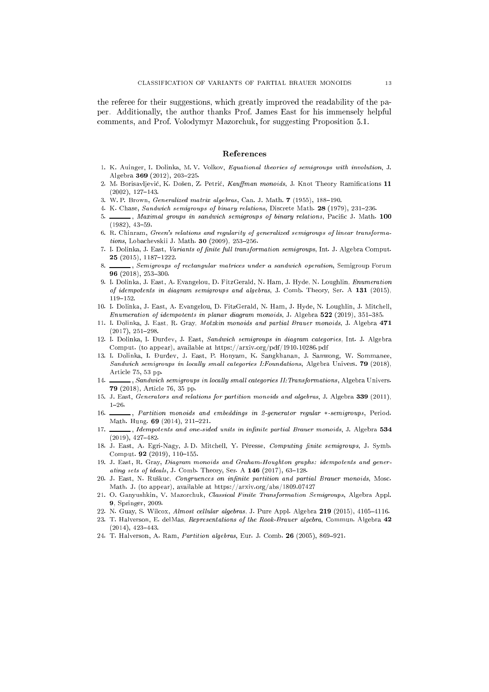the referee for their suggestions, whi
h greatly improved the readability of the paper. Additionally, the author thanks Prof. James East for his immensely helpful omments, and Prof. Volodymyr Mazor
huk, for suggesting Proposition 5.1.

### Referen
es

- 1. K. Auinger, I. Dolinka, M. V. Volkov, Equational theories of semigroups with involution, J. Algebra 369 (2012), 203-225.
- 2. M. Borisavljević, K. Došen, Z. Petrić, Kauffman monoids, J. Knot Theory Ramifications 11  $(2002), 127-143.$
- 3. W. P. Brown, *Generalized matrix algebras*, Can. J. Math. 7 (1955), 188-190.
- 4. K. Chase, Sandwich semigroups of binary relations, Discrete Math. 28 (1979), 231-236.
- , Maximal groups in sandwich semigroups of binary relations, Pacific J. Math. 100  $(1982), 43-59.$
- 6. R. Chinram, Green's relations and regularity of generalized semigroups of linear transforma $tions, Lobachevskii J. Math. 30 (2009), 253-256.$
- 7. I. Dolinka, J. East, Variants of finite full transformation semigroups, Int. J. Algebra Comput. 25 (2015), 1187-1222.
- <sub>1</sub>, Semigroups of rectangular matrices under a sandwich operation, Semigroup Forum  $8.$ 96 (2018), 253-300.
- 9. I. Dolinka, J. East, A. Evangelou, D. FitzGerald, N. Ham, J. Hyde, N. Loughlin, Enumeration of idempotents in diagram semigroups and algebras, J. Comb. Theory, Ser. A <sup>131</sup> (2015),  $119 - 152.$
- 10. I. Dolinka, J. East, A. Evangelou, D. FitzGerald, N. Ham, J. Hyde, N. Loughlin, J. Mit
hell, Enumeration of idempotents in planar diagram monoids, J. Algebra  $522$  (2019), 351-385.
- 11. I. Dolinka, J. East, R. Gray, Motzkin monoids and partial Brauer monoids, J. Algebra 471  $(2017), 251-298.$
- 12. I. Dolinka, I. Đurđev, J. East, Sandwich semigroups in diagram categories, Int. J. Algebra Comput. (to appear), available at https://arxiv.org/pdf/1910.10286.pdf
- 13. I. Dolinka, I. Đurđev, J. East, P. Honyam, K. Sangkhanan, J. Sanwong, W. Sommanee, Sandwich semigroups in locally small categories I:Foundations, Algebra Univers. 79 (2018), Article 75, 53 pp. Arti
le 75, 53 pp.
- $14.$ , Sandwich semigroups in locally small categories II: Transformations, Algebra Univers. <sup>79</sup> (2018), Arti
le 76, 35 pp.
- 15. J. East, Generators and relations for partition monoids and algebras, J. Algebra 339 (2011),  $1 - 26$
- 16. , Partition monoids and embeddings in 2-generator regular \*-semigroups, Period. Math. Hung. 69 (2014), 211-221.
- 17.  $\_\_\_\_\$ , Idempotents and one-sided units in infinite partial Brauer monoids, J. Algebra 534  $(2019), 427-482.$
- 18. J. East, A. Egri-Nagy, J.D. Mitchell, Y. Péresse, Computing finite semigroups, J. Symb. Comput. 92 (2019), 110-155.
- 19. J. East, R. Gray, Diagram monoids and Graham-Houghton graphs: idempotents and generating sets of ideals, J. Comb. Theory, Ser. A  $146$  (2017), 63-128.
- 20. J. East, N. Ruškuc, Congruences on infinite partition and partial Brauer monoids, Mosc. Math. J. (to appear), available at https://arxiv.org/abs/1809.07427
- 21. O. Ganyushkin, V. Mazorchuk, Classical Finite Transformation Semigroups, Algebra Appl. 9, Springer, 2009.
- 22. N. Guay, S. Wilcox, Almost cellular algebras, J. Pure Appl. Algebra 219 (2015), 4105-4116.
- 23. T. Halverson, E. delMas, Representations of the Rook-Brauer algebra, Commun. Algebra 42  $(2014), 423-443.$
- 24. T. Halverson, A. Ram, Partition algebras, Eur. J. Comb. 26 (2005), 869-921.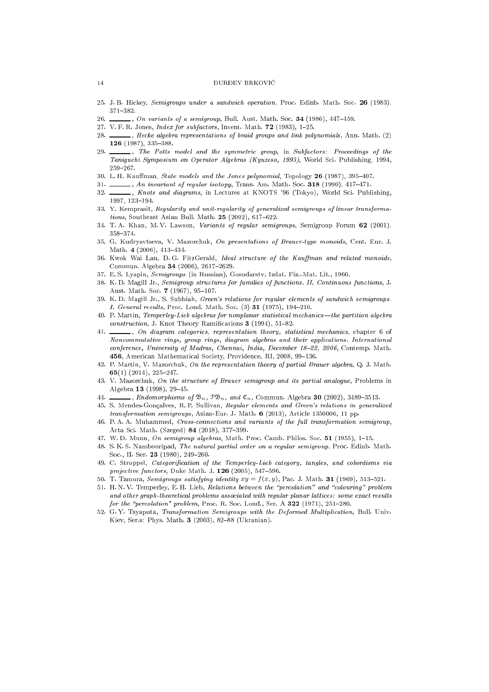#### ${\bf \small 14}\qquad \qquad {\bf \small 19}\qquad \qquad {\bf \small 10}\qquad {\bf \small 14}$

- 25. J.B. Hickey, Semigroups under a sandwich operation, Proc. Edinb. Math. Soc. 26 (1983),
- $\Box$ , On variants of a semigroup, Bull. Aust. Math. Soc. 34 (1986), 447-459. 26.
- 27. V. F. R. Jones, *Index for subfactors*, Invent. Math. **72** (1983), 1-25.
- 28.  $\_\_\_\_\_\_\_\$  Hecke algebra representations of braid groups and link polynomials, Ann. Math. (2) 126 (1987), 335-388.
- $\Box$ , The Potts model and the symmetric group, in Subfactors: Proceedings of the 29. Tanigu
hi Symposium on Operator Algebras (Kyuzeso, 1993), World S
i. Publishing, 1994,
- 30. L. H. Kauffman, State models and the Jones polynomial, Topology 26 (1987), 395-407.
- 31. , An invariant of regular isotopy, Trans. Am. Math. Soc. 318 (1990), 417-471.
- 32. Knots and diagrams, in Lectures at KNOTS '96 (Tokyo), World Sci. Publishing, 1997, 123-194.
- 33. Y. Kemprasit, Regularity and unit-regularity of generalized semigroups of linear transformations, Southeast Asian Bull. Math.  $25$  (2002), 617-622.
- 34. T. A. Khan, M. V. Lawson, Variants of regular semigroups, Semigroup Forum <sup>62</sup> (2001), 358-374
- 35. G. Kudryavtseva, V. Mazorchuk, On presentations of Brauer-type monoids, Cent. Eur. J. Math.  $4(2006)$ ,  $413-434$ .
- 36. Kwok Wai Lau, D.G. FitzGerald, Ideal structure of the Kauffman and related monoids, Commun. Algebra 34 (2006), 2617-2629.
- 37. E. S. Lyapin, Semigroups (in Russian), Gosudarstv. Izdat. Fiz.-Mat. Lit., 1960.
- 38. K.D. Magill Jr., Semigroup structures for families of functions. II. Continuous functions, J. Aust. Math. Soc. 7 (1967), 95-107.
- 39. K. D. Magill Jr., S. Subbiah, Green's relations for regular elements of sandwi
h semigroups. I. General results, Pro
. Lond. Math. So
. (3) <sup>31</sup> (1975), 194210.
- 40. P. Martin, Temperley-Lieb algebras for nonplanar statistical mechanics—the partition algebra  $construction$ , J. Knot Theory Ramifications 3 (1994), 51-82.
- 41.  $\_\_\_\_\$ n diagram categories, representation theory, statistical mechanics, chapter 6 of Noncommutative rings, group rings, diagram algebras and their applications. International conference, University of Madras, Chennai, India, December 18-22, 2006, Contemp. Math. 456, American Mathematical Society, Providence, RI, 2008, 99-136.
- 42. P. Martin, V. Mazor
huk, On the representation theory of partial Brauer algebra, Q. J. Math. 65 $(1)$   $(2014)$ ,  $225-247$ .
- 43. V. Mazorchuk, On the structure of Brauer semigroup and its partial analogue, Problems in Algebra 13 (1998),  $29-45$ .
- 44.  $\ldots$ , Endomorphisms of  $\mathfrak{B}_n$ ,  $\mathfrak{B}_n$ , and  $\mathfrak{C}_n$ , Commun. Algebra 30 (2002), 3489-3513.
- 45. S. Mendes-Gonçalves, R. P. Sullivan, Regular elements and Green's relations in generalized transformation semigroups, Asian-Eur. J. Math. 6 (2013), Article 1350006, 11 pp.
- 46. P. A. A. Muhammed, Crossonne
tions and variants of the ful l transformation semigroup, Acta Sci. Math. (Szeged) 84 (2018), 377-399.
- 47. W.D. Munn, On semigroup algebras, Math. Proc. Camb. Philos. Soc. 51 (1955), 1-15.
- 48. S. K. S. Nambooripad, The natural partial order on a regular semigroup, Pro
. Edinb. Math. Soc., II. Ser. 23 (1980), 249-260.
- 49. C. Stroppel, *Categorification of the Temperley-Lieb category, tangles, and cobordisms via* projective functors, Duke Math. J.  $126$  (2005), 547-596.
- 50. T. Tamura, Semigroups satisfying identity  $xy = f(x, y)$ , Pac. J. Math. 31 (1969), 513-521.
- 51. H. N. V. Temperley, E. H. Lieb, Relations between the "percolation" and "colouring" problem and other graph-theoretical problems associated with regular planar lattices: some exact results for the "percolation" problem, Proc. R. Soc. Lond., Ser. A  $322$  (1971), 251-280.
- 52. G.Y. Tsyaputa, Transformation Semigroups with the Deformed Multiplication, Bull. Univ. Kiev, Ser.s: Phys. Math. 3 (2003), 82-88 (Ukranian).